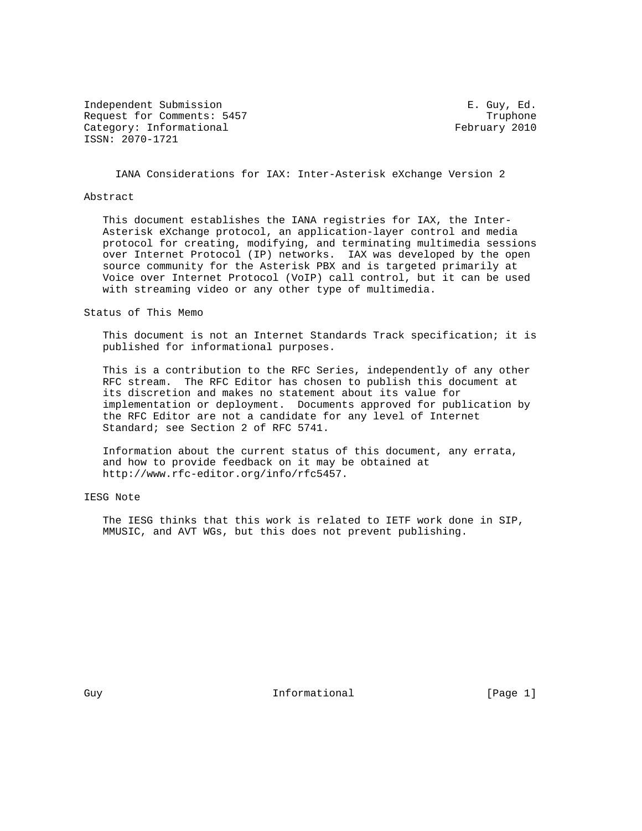Independent Submission **E. Guy, Ed.** Submission Request for Comments: 5457 Truphone Category: Informational example of the February 2010 ISSN: 2070-1721

IANA Considerations for IAX: Inter-Asterisk eXchange Version 2

### Abstract

 This document establishes the IANA registries for IAX, the Inter- Asterisk eXchange protocol, an application-layer control and media protocol for creating, modifying, and terminating multimedia sessions over Internet Protocol (IP) networks. IAX was developed by the open source community for the Asterisk PBX and is targeted primarily at Voice over Internet Protocol (VoIP) call control, but it can be used with streaming video or any other type of multimedia.

### Status of This Memo

 This document is not an Internet Standards Track specification; it is published for informational purposes.

 This is a contribution to the RFC Series, independently of any other RFC stream. The RFC Editor has chosen to publish this document at its discretion and makes no statement about its value for implementation or deployment. Documents approved for publication by the RFC Editor are not a candidate for any level of Internet Standard; see Section 2 of RFC 5741.

 Information about the current status of this document, any errata, and how to provide feedback on it may be obtained at http://www.rfc-editor.org/info/rfc5457.

# IESG Note

 The IESG thinks that this work is related to IETF work done in SIP, MMUSIC, and AVT WGs, but this does not prevent publishing.

Guy **Informational** [Page 1]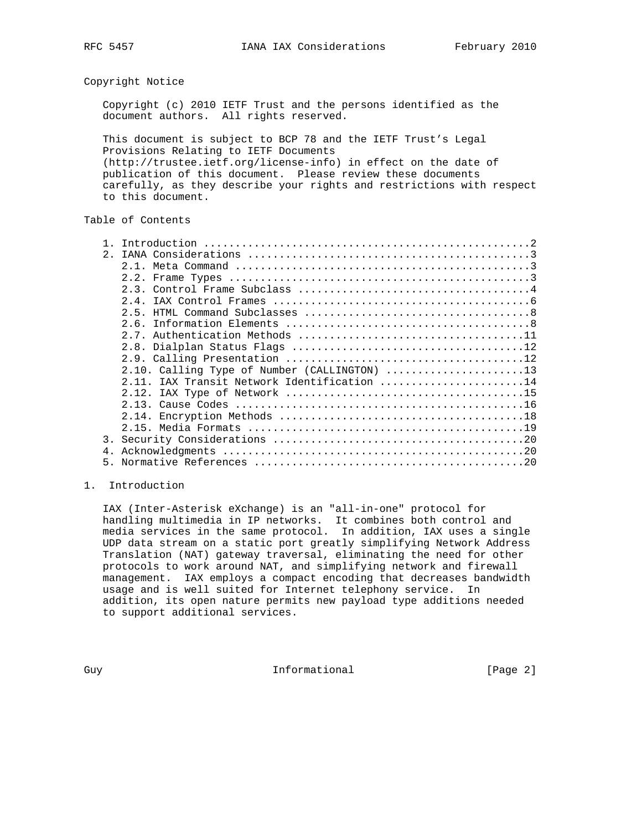## Copyright Notice

 Copyright (c) 2010 IETF Trust and the persons identified as the document authors. All rights reserved.

 This document is subject to BCP 78 and the IETF Trust's Legal Provisions Relating to IETF Documents (http://trustee.ietf.org/license-info) in effect on the date of publication of this document. Please review these documents carefully, as they describe your rights and restrictions with respect to this document.

## Table of Contents

| 2.1 |                                              |
|-----|----------------------------------------------|
|     |                                              |
|     |                                              |
|     |                                              |
|     |                                              |
|     |                                              |
|     |                                              |
|     |                                              |
|     |                                              |
|     |                                              |
|     | 2.10. Calling Type of Number (CALLINGTON) 13 |
|     | 2.11. IAX Transit Network Identification 14  |
|     |                                              |
|     |                                              |
|     |                                              |
|     |                                              |
|     |                                              |
|     |                                              |
|     |                                              |
|     |                                              |

## 1. Introduction

 IAX (Inter-Asterisk eXchange) is an "all-in-one" protocol for handling multimedia in IP networks. It combines both control and media services in the same protocol. In addition, IAX uses a single UDP data stream on a static port greatly simplifying Network Address Translation (NAT) gateway traversal, eliminating the need for other protocols to work around NAT, and simplifying network and firewall management. IAX employs a compact encoding that decreases bandwidth usage and is well suited for Internet telephony service. In addition, its open nature permits new payload type additions needed to support additional services.

Guy **Informational** [Page 2]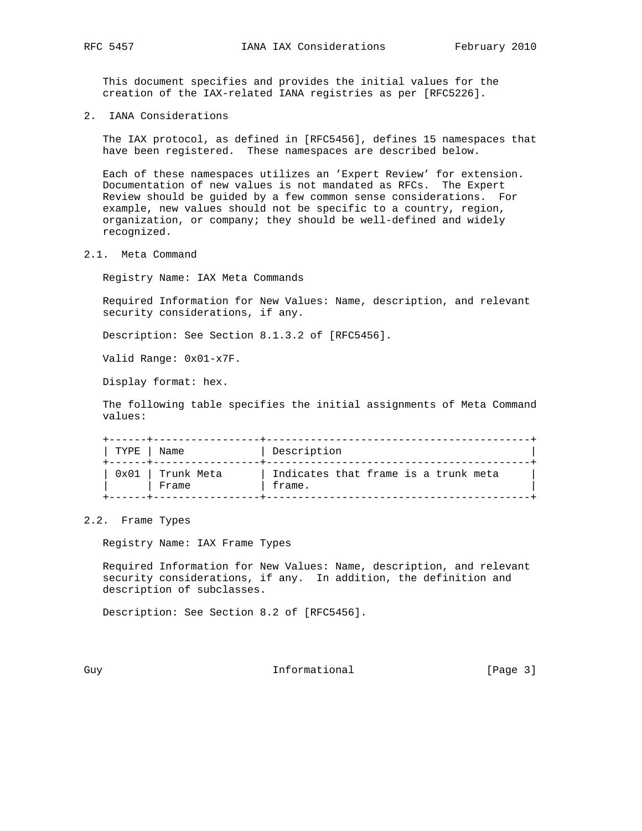This document specifies and provides the initial values for the creation of the IAX-related IANA registries as per [RFC5226].

2. IANA Considerations

 The IAX protocol, as defined in [RFC5456], defines 15 namespaces that have been registered. These namespaces are described below.

 Each of these namespaces utilizes an 'Expert Review' for extension. Documentation of new values is not mandated as RFCs. The Expert Review should be guided by a few common sense considerations. For example, new values should not be specific to a country, region, organization, or company; they should be well-defined and widely recognized.

2.1. Meta Command

Registry Name: IAX Meta Commands

 Required Information for New Values: Name, description, and relevant security considerations, if any.

Description: See Section 8.1.3.2 of [RFC5456].

Valid Range: 0x01-x7F.

Display format: hex.

 The following table specifies the initial assignments of Meta Command values:

 +------+-----------------+------------------------------------------+ | TYPE | Name | Description +------+-----------------+------------------------------------------+  $|$  0x01 | Trunk Meta  $|$  Indicates that frame is a trunk meta  $|$ | | Frame | frame. +------+-----------------+------------------------------------------+

### 2.2. Frame Types

Registry Name: IAX Frame Types

 Required Information for New Values: Name, description, and relevant security considerations, if any. In addition, the definition and description of subclasses.

Description: See Section 8.2 of [RFC5456].

Guy **Informational** [Page 3]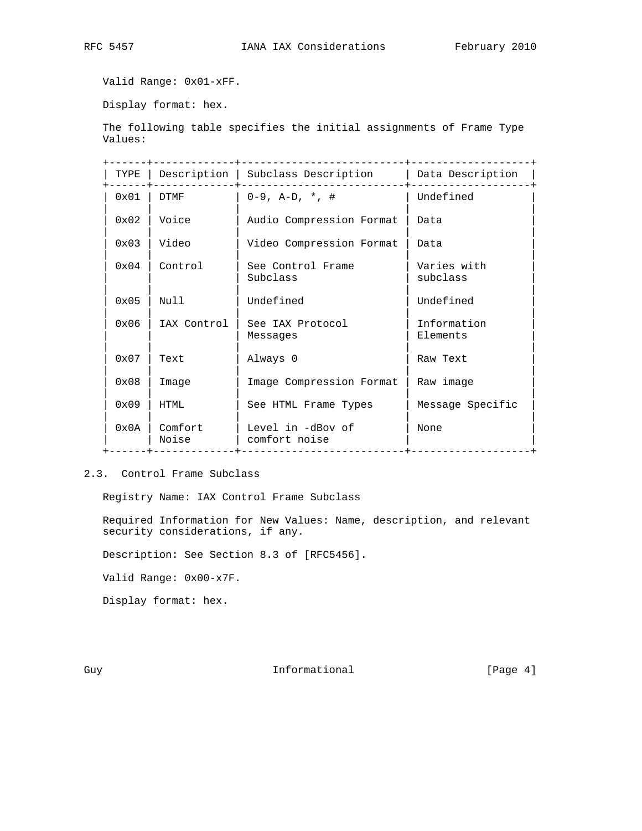Valid Range: 0x01-xFF.

Display format: hex.

 The following table specifies the initial assignments of Frame Type Values:

| TYPE           |                  | Description   Subclass Description | Data Description        |
|----------------|------------------|------------------------------------|-------------------------|
| $0 \times 01$  | DTMF             | $0-9$ , A-D, $*$ , #               | Undefined               |
| $0 \times 02$  | Voice            | Audio Compression Format           | Data                    |
| $0 \times 03$  | Video            | Video Compression Format           | Data                    |
| 0x04           | Control          | See Control Frame<br>Subclass      | Varies with<br>subclass |
| $0 \times 05$  | Null             | Undefined                          | Undefined               |
| 0x06           | IAX Control      | See IAX Protocol<br>Messages       | Information<br>Elements |
| $0 \times 07$  | Text             | Always 0                           | Raw Text                |
| $0 \times 08$  | Image            | Image Compression Format           | Raw image               |
| $0 \times 09$  | HTML             | See HTML Frame Types               | Message Specific        |
| $0 \times 0$ A | Comfort<br>Noise | Level in -dBov of<br>comfort noise | None                    |

# 2.3. Control Frame Subclass

Registry Name: IAX Control Frame Subclass

 Required Information for New Values: Name, description, and relevant security considerations, if any.

Description: See Section 8.3 of [RFC5456].

Valid Range: 0x00-x7F.

Display format: hex.

Guy **Informational** [Page 4]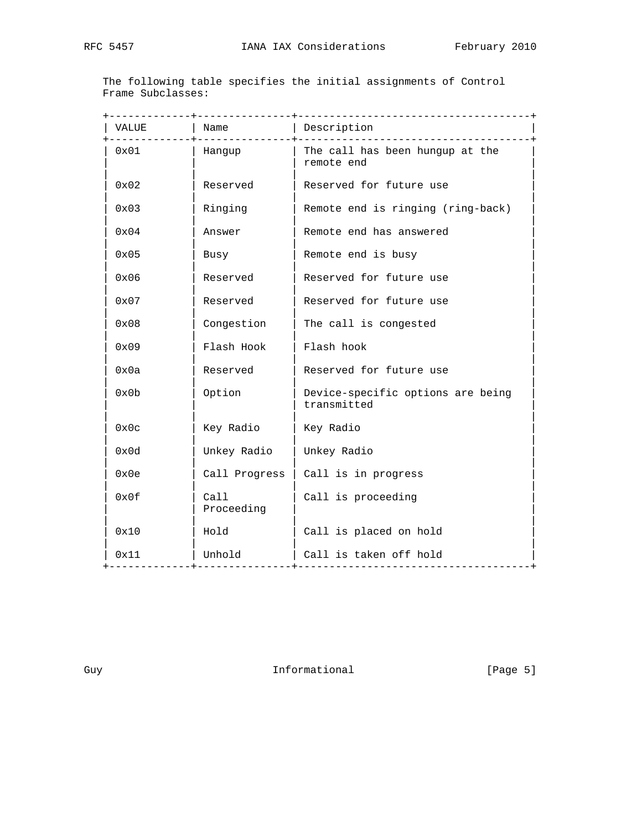The following table specifies the initial assignments of Control Frame Subclasses:

|               | -------------      |                                                  |
|---------------|--------------------|--------------------------------------------------|
| VALUE         | Name               | Description                                      |
| 0x01          | Hangup             | The call has been hungup at the<br>remote end    |
| $0 \times 02$ | Reserved           | Reserved for future use                          |
| 0x03          | Ringing            | Remote end is ringing (ring-back)                |
| 0x04          | Answer             | Remote end has answered                          |
| 0x05          | Busy               | Remote end is busy                               |
| 0x06          | Reserved           | Reserved for future use                          |
| 0x07          | Reserved           | Reserved for future use                          |
| 0x08          | Congestion         | The call is congested                            |
| 0x09          | Flash Hook         | Flash hook                                       |
| 0x0a          | Reserved           | Reserved for future use                          |
| 0x0b          | Option             | Device-specific options are being<br>transmitted |
| 0x0c          | Key Radio          | Key Radio                                        |
| 0x0d          | Unkey Radio        | Unkey Radio                                      |
| 0x0e          | Call Progress      | Call is in progress                              |
| 0x0f          | Call<br>Proceeding | Call is proceeding                               |
| 0x10          | Hold               | Call is placed on hold                           |
| 0x11          | Unhold             | Call is taken off hold                           |
|               |                    | . _ _ _ _ _ _ _ _ <del>.</del> _ .               |

Guy **Informational** [Page 5]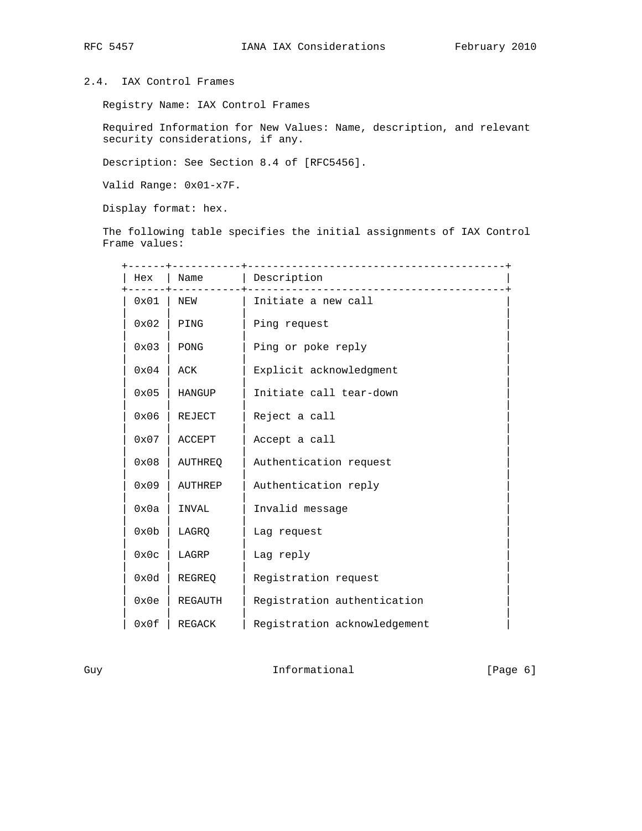# 2.4. IAX Control Frames

Registry Name: IAX Control Frames

 Required Information for New Values: Name, description, and relevant security considerations, if any.

Description: See Section 8.4 of [RFC5456].

Valid Range: 0x01-x7F.

Display format: hex.

 The following table specifies the initial assignments of IAX Control Frame values:

| Hex  | Name           | Description                  |
|------|----------------|------------------------------|
| 0x01 | NEW            | Initiate a new call          |
| 0x02 | PING           | Ping request                 |
| 0x03 | PONG           | Ping or poke reply           |
| 0x04 | ACK            | Explicit acknowledgment      |
| 0x05 | HANGUP         | Initiate call tear-down      |
| 0x06 | REJECT         | Reject a call                |
| 0x07 | <b>ACCEPT</b>  | Accept a call                |
| 0x08 | <b>AUTHREO</b> | Authentication request       |
| 0x09 | <b>AUTHREP</b> | Authentication reply         |
| 0x0a | INVAL          | Invalid message              |
| 0x0b | LAGRO          | Lag request                  |
| 0x0c | LAGRP          | Lag reply                    |
| 0x0d | REGREO         | Registration request         |
| 0x0e | REGAUTH        | Registration authentication  |
| 0x0f | REGACK         | Registration acknowledgement |

Guy **Informational** [Page 6]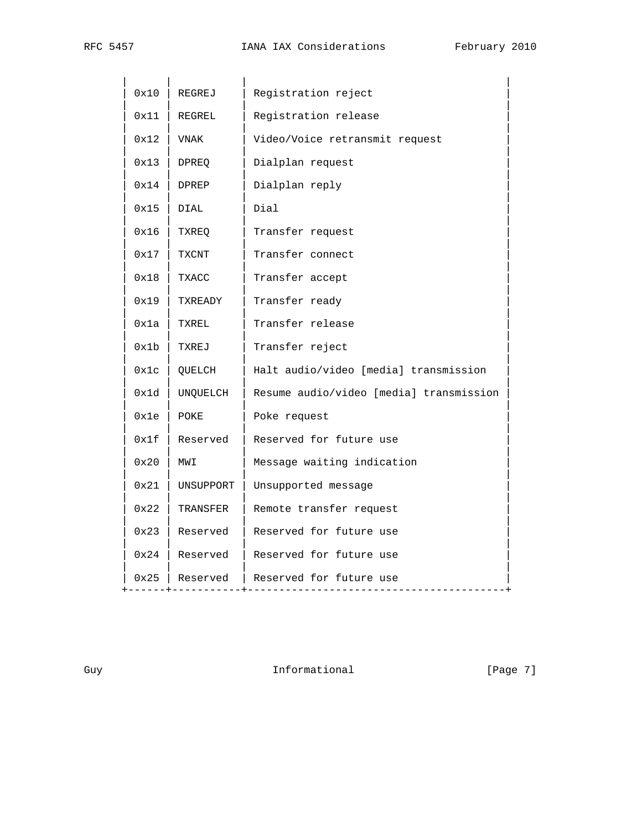| 0x10<br>Registration reject<br>REGREJ                       |  |
|-------------------------------------------------------------|--|
| Registration release<br>0x11<br>REGREL                      |  |
| Video/Voice retransmit request<br>0x12<br>VNAK              |  |
| Dialplan request<br>0x13<br>DPREQ                           |  |
| 0x14<br>DPREP<br>Dialplan reply                             |  |
| Dial<br>0x15<br>DIAL                                        |  |
| Transfer request<br>0x16<br>TXREQ                           |  |
| Transfer connect<br>0x17<br>TXCNT                           |  |
| 0x18<br>TXACC<br>Transfer accept                            |  |
| Transfer ready<br>0x19<br>TXREADY                           |  |
| Transfer release<br>0x1a<br>TXREL                           |  |
| Transfer reject<br>0x1b<br>TXREJ                            |  |
| Halt audio/video [media] transmission<br>0x1c<br>QUELCH     |  |
| Resume audio/video [media] transmission<br>0x1d<br>UNQUELCH |  |
| Poke request<br>0x1e<br>POKE                                |  |
| Reserved for future use<br>0x1f<br>Reserved                 |  |
| Message waiting indication<br>0x20<br>MWI                   |  |
| Unsupported message<br>0x21<br>UNSUPPORT                    |  |
| Remote transfer request<br>0x22<br>TRANSFER                 |  |
| Reserved for future use<br>0x23<br>Reserved                 |  |
| Reserved for future use<br>0x24<br>Reserved                 |  |
| Reserved   Reserved for future use<br>0x25                  |  |

Guy Communicational [Page 7]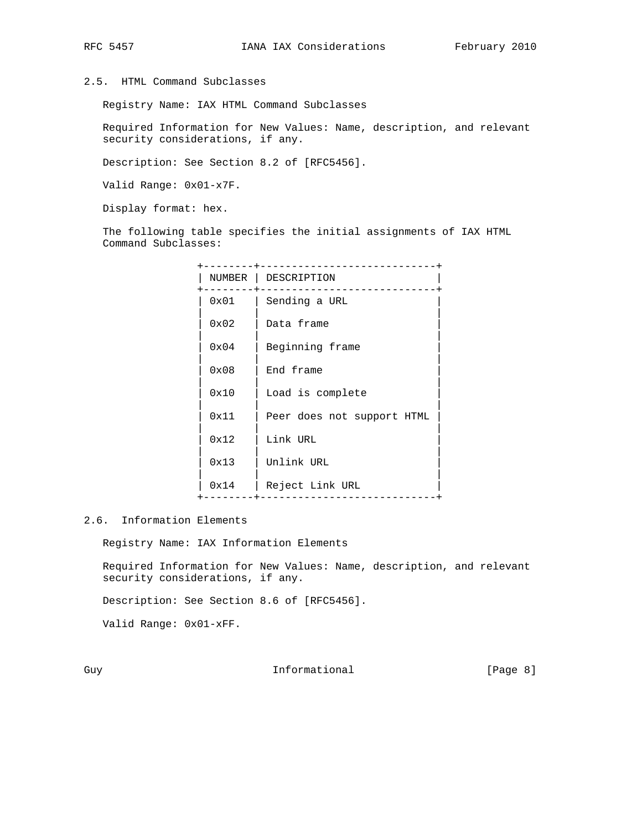## 2.5. HTML Command Subclasses

Registry Name: IAX HTML Command Subclasses

 Required Information for New Values: Name, description, and relevant security considerations, if any.

Description: See Section 8.2 of [RFC5456].

Valid Range: 0x01-x7F.

Display format: hex.

 The following table specifies the initial assignments of IAX HTML Command Subclasses:

| NUMBER | DESCRIPTION                |
|--------|----------------------------|
| 0x01   | Sending a URL              |
| 0x02   | Data frame                 |
| 0x04   | Beginning frame            |
| 0x08   | End frame                  |
| 0x10   | Load is complete           |
| 0x11   | Peer does not support HTML |
| 0x12   | Link URL                   |
| 0x13   | Unlink URL                 |
| 0x14   | Reject Link URL            |
|        |                            |

## 2.6. Information Elements

Registry Name: IAX Information Elements

 Required Information for New Values: Name, description, and relevant security considerations, if any.

Description: See Section 8.6 of [RFC5456].

Valid Range: 0x01-xFF.

Guy **Informational** [Page 8]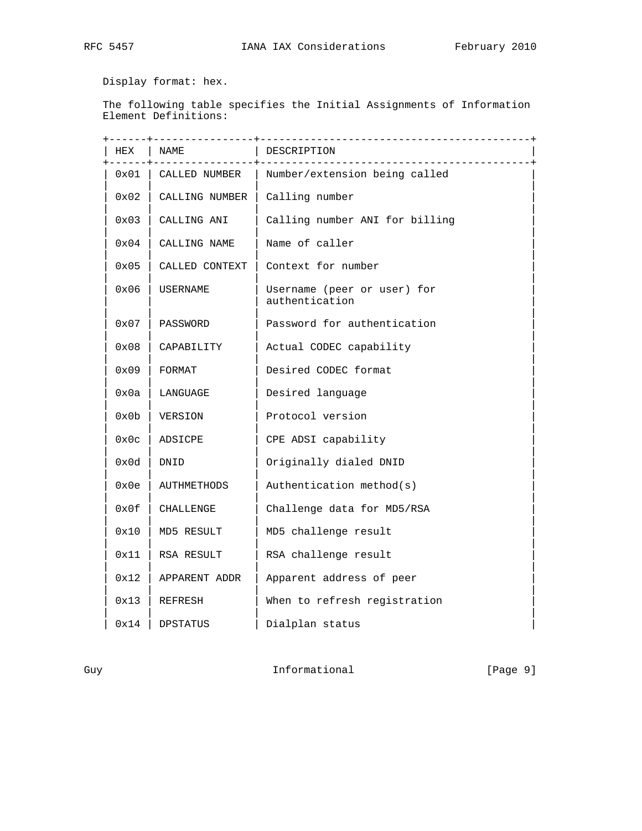Display format: hex.

 The following table specifies the Initial Assignments of Information Element Definitions:

| HEX  | ---------------- <b>+</b><br>NAME | DESCRIPTION                                                         |  |
|------|-----------------------------------|---------------------------------------------------------------------|--|
| 0x01 | CALLED NUMBER                     | ________________________________<br>  Number/extension being called |  |
|      |                                   |                                                                     |  |
| 0x02 | CALLING NUMBER   Calling number   |                                                                     |  |
| 0x03 | CALLING ANI                       | Calling number ANI for billing                                      |  |
| 0x04 | CALLING NAME                      | Name of caller                                                      |  |
| 0x05 | CALLED CONTEXT                    | Context for number                                                  |  |
| 0x06 | USERNAME                          | Username (peer or user) for<br>authentication                       |  |
| 0x07 | PASSWORD                          | Password for authentication                                         |  |
| 0x08 | CAPABILITY                        | Actual CODEC capability                                             |  |
| 0x09 | FORMAT                            | Desired CODEC format                                                |  |
| 0x0a | LANGUAGE                          | Desired language                                                    |  |
| 0x0b | VERSION                           | Protocol version                                                    |  |
| 0x0c | ADSICPE                           | CPE ADSI capability                                                 |  |
| 0x0d | DNID                              | Originally dialed DNID                                              |  |
| 0x0e | AUTHMETHODS                       | Authentication method(s)                                            |  |
| 0x0f | CHALLENGE                         | Challenge data for MD5/RSA                                          |  |
| 0x10 | MD5 RESULT                        | MD5 challenge result                                                |  |
| 0x11 | RSA RESULT                        | RSA challenge result                                                |  |
| 0x12 | APPARENT ADDR                     | Apparent address of peer                                            |  |
| 0x13 | REFRESH                           | When to refresh registration                                        |  |
| 0x14 | DPSTATUS                          | Dialplan status                                                     |  |

Guy Communicational [Page 9]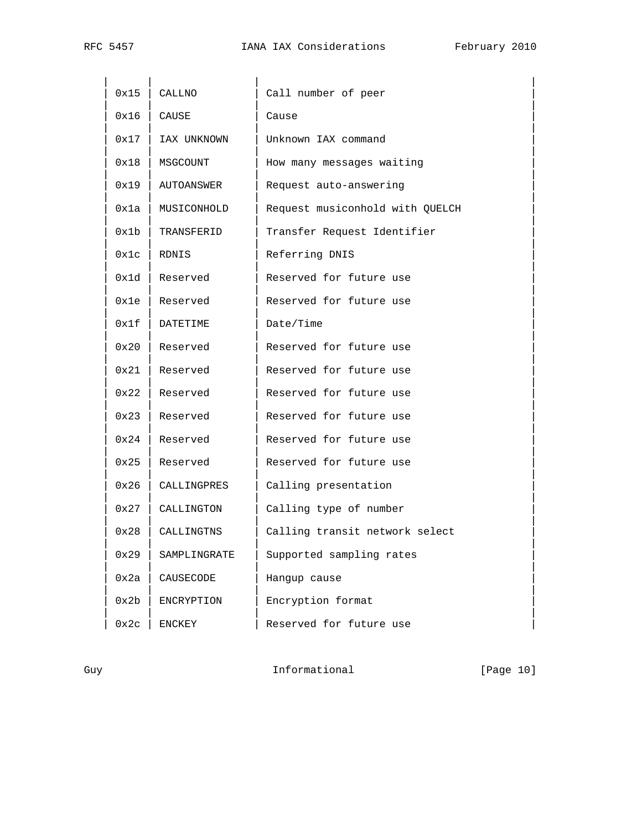| 0x15 | CALLNO       | Call number of peer             |
|------|--------------|---------------------------------|
| 0x16 | CAUSE        | Cause                           |
| 0x17 | IAX UNKNOWN  | Unknown IAX command             |
| 0x18 | MSGCOUNT     | How many messages waiting       |
| 0x19 | AUTOANSWER   | Request auto-answering          |
| 0x1a | MUSICONHOLD  | Request musiconhold with QUELCH |
| 0x1b | TRANSFERID   | Transfer Request Identifier     |
| 0x1c | RDNIS        | Referring DNIS                  |
| 0x1d | Reserved     | Reserved for future use         |
| 0x1e | Reserved     | Reserved for future use         |
| 0x1f | DATETIME     | Date/Time                       |
| 0x20 | Reserved     | Reserved for future use         |
| 0x21 | Reserved     | Reserved for future use         |
| 0x22 | Reserved     | Reserved for future use         |
| 0x23 | Reserved     | Reserved for future use         |
| 0x24 | Reserved     | Reserved for future use         |
| 0x25 | Reserved     | Reserved for future use         |
| 0x26 | CALLINGPRES  | Calling presentation            |
| 0x27 | CALLINGTON   | Calling type of number          |
| 0x28 | CALLINGTNS   | Calling transit network select  |
| 0x29 | SAMPLINGRATE | Supported sampling rates        |
| 0x2a | CAUSECODE    | Hangup cause                    |
| 0x2b | ENCRYPTION   | Encryption format               |
| 0x2c | ENCKEY       | Reserved for future use         |

Guy **Informational** [Page 10]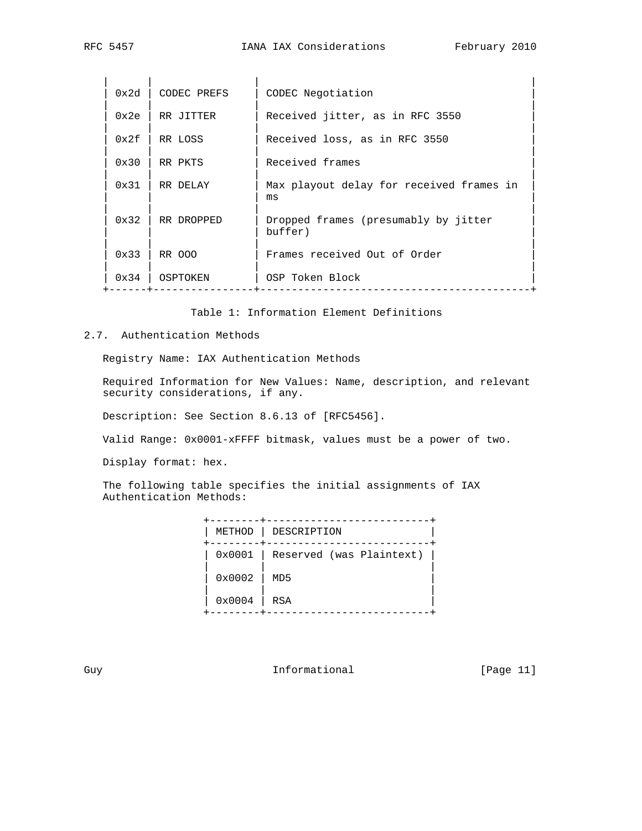| 0x2d          | CODEC PREFS | CODEC Negotiation                               |
|---------------|-------------|-------------------------------------------------|
| 0x2e          | RR JITTER   | Received jitter, as in RFC 3550                 |
| 0x2f          | RR LOSS     | Received loss, as in RFC 3550                   |
| $0 \times 30$ | RR PKTS     | Received frames                                 |
| $0 \times 31$ | RR DELAY    | Max playout delay for received frames in<br>ms  |
| $0 \times 32$ | RR DROPPED  | Dropped frames (presumably by jitter<br>buffer) |
| $0 \times 33$ | RR 000      | Frames received Out of Order                    |
| 0x34          | OSPTOKEN    | OSP Token Block                                 |

Table 1: Information Element Definitions

## 2.7. Authentication Methods

Registry Name: IAX Authentication Methods

 Required Information for New Values: Name, description, and relevant security considerations, if any.

Description: See Section 8.6.13 of [RFC5456].

Valid Range: 0x0001-xFFFF bitmask, values must be a power of two.

Display format: hex.

 The following table specifies the initial assignments of IAX Authentication Methods:

| METHOD | DESCRIPTION                     |
|--------|---------------------------------|
|        | 0x0001 Reserved (was Plaintext) |
| 0x0002 | MD5                             |
| 0x0004 | RSA                             |

Guy **Informational** [Page 11]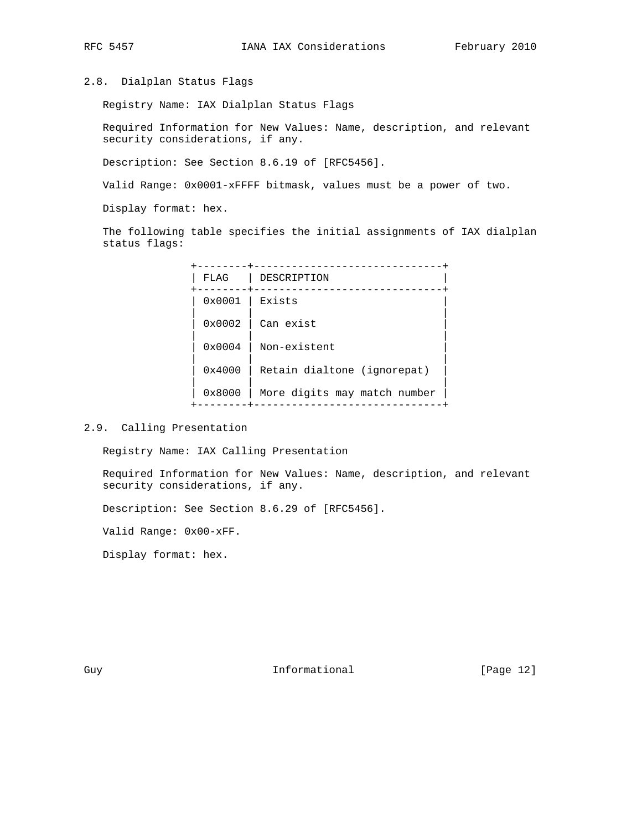### 2.8. Dialplan Status Flags

Registry Name: IAX Dialplan Status Flags

 Required Information for New Values: Name, description, and relevant security considerations, if any.

Description: See Section 8.6.19 of [RFC5456].

Valid Range: 0x0001-xFFFF bitmask, values must be a power of two.

Display format: hex.

 The following table specifies the initial assignments of IAX dialplan status flags:

 +--------+------------------------------+ | FLAG | DESCRIPTION | +--------+------------------------------+ 0x0001 | Exists | | | | 0x0002 | Can exist | | | |  $\vert$  0x0004  $\vert$  Non-existent | | |  $0x4000$  | Retain dialtone (ignorepat) | | |  $\vert$  0x8000  $\vert$  More digits may match number +--------+------------------------------+

2.9. Calling Presentation

Registry Name: IAX Calling Presentation

 Required Information for New Values: Name, description, and relevant security considerations, if any.

Description: See Section 8.6.29 of [RFC5456].

Valid Range: 0x00-xFF.

Display format: hex.

Guy **Informational** [Page 12]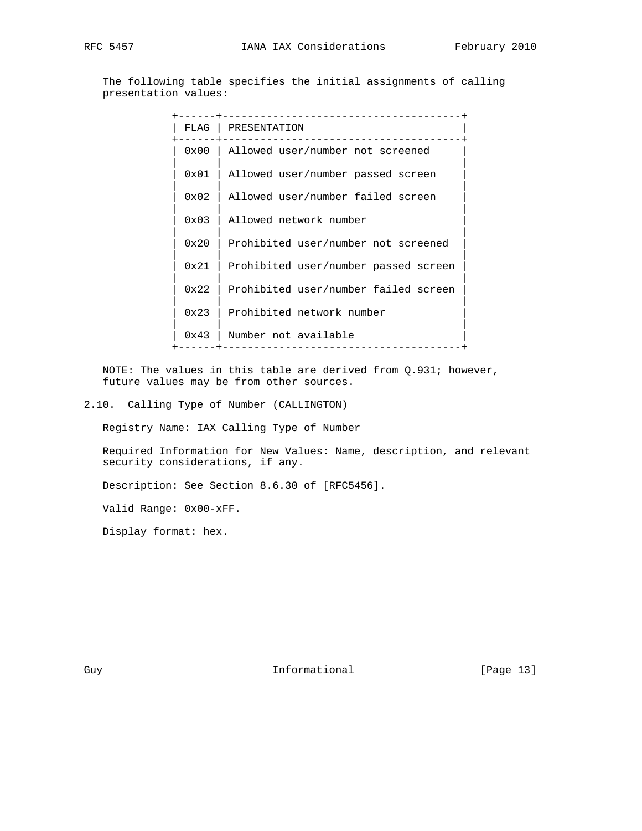The following table specifies the initial assignments of calling presentation values:

| FLAG          | PRESENTATION                         |
|---------------|--------------------------------------|
| 0x00          | Allowed user/number not screened     |
| 0x01          | Allowed user/number passed screen    |
| 0x02          | Allowed user/number failed screen    |
| 0x03          | Allowed network number               |
| 0x20          | Prohibited user/number not screened  |
| 0x21          | Prohibited user/number passed screen |
| 0x22          | Prohibited user/number failed screen |
| $0 \times 23$ | Prohibited network number            |
| $0 \times 43$ | Number not available                 |
|               |                                      |

 NOTE: The values in this table are derived from Q.931; however, future values may be from other sources.

2.10. Calling Type of Number (CALLINGTON)

Registry Name: IAX Calling Type of Number

 Required Information for New Values: Name, description, and relevant security considerations, if any.

Description: See Section 8.6.30 of [RFC5456].

Valid Range: 0x00-xFF.

Display format: hex.

Guy **Informational** [Page 13]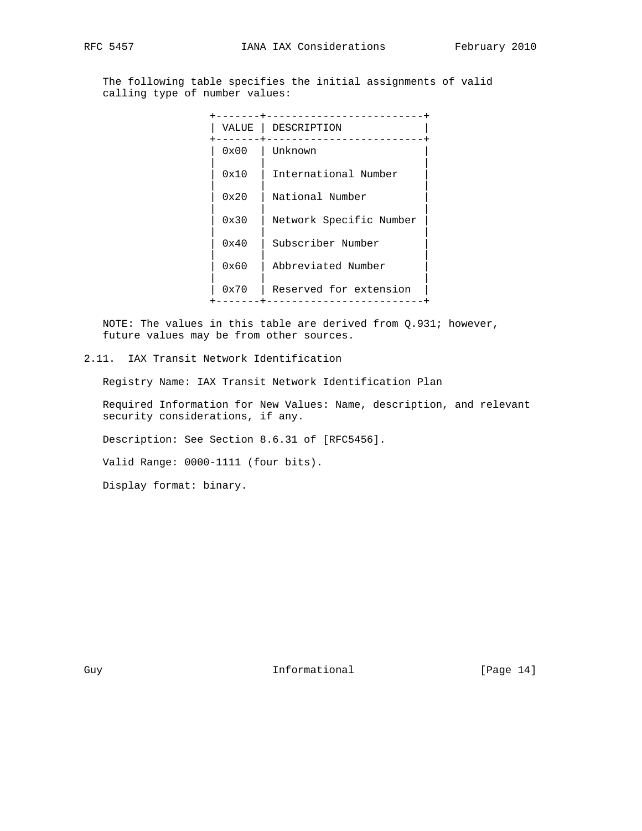The following table specifies the initial assignments of valid calling type of number values:

| VALUE | DESCRIPTION             |
|-------|-------------------------|
| 0x00  | Unknown                 |
| 0x10  | International Number    |
| 0x20  | National Number         |
| 0x30  | Network Specific Number |
| 0x40  | Subscriber Number       |
| 0x60  | Abbreviated Number      |
| 0x70  | Reserved for extension  |
|       |                         |

 NOTE: The values in this table are derived from Q.931; however, future values may be from other sources.

2.11. IAX Transit Network Identification

Registry Name: IAX Transit Network Identification Plan

 Required Information for New Values: Name, description, and relevant security considerations, if any.

Description: See Section 8.6.31 of [RFC5456].

Valid Range: 0000-1111 (four bits).

Display format: binary.

Guy **Informational** [Page 14]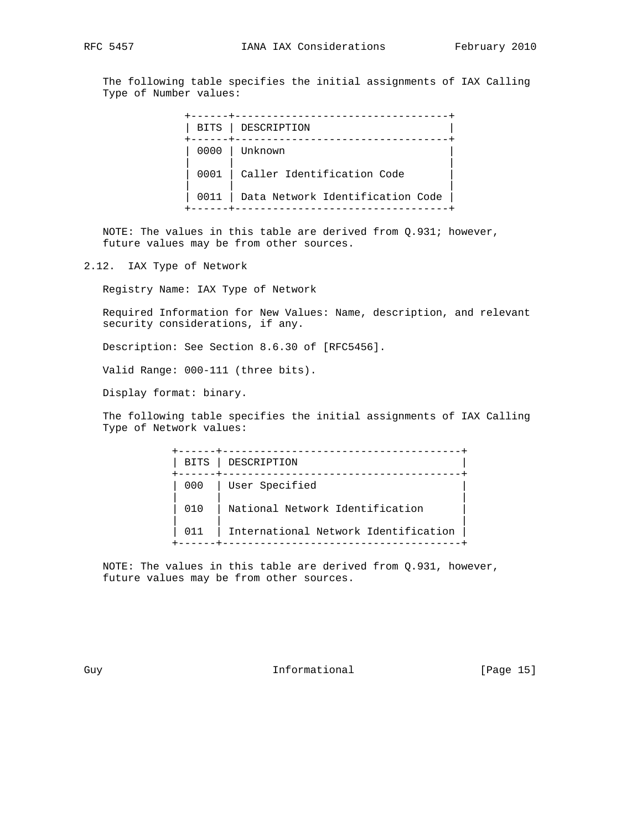The following table specifies the initial assignments of IAX Calling Type of Number values:

| BITS | DESCRIPTION                      |
|------|----------------------------------|
|      | 0000 l Unknown                   |
| 0001 | Caller Identification Code       |
| 0011 | Data Network Identification Code |
|      |                                  |

 NOTE: The values in this table are derived from Q.931; however, future values may be from other sources.

2.12. IAX Type of Network

Registry Name: IAX Type of Network

 Required Information for New Values: Name, description, and relevant security considerations, if any.

Description: See Section 8.6.30 of [RFC5456].

Valid Range: 000-111 (three bits).

Display format: binary.

 The following table specifies the initial assignments of IAX Calling Type of Network values:

| BITS | DESCRIPTION                          |
|------|--------------------------------------|
| 000  | User Specified                       |
| 010  | National Network Identification      |
| 011  | International Network Identification |
|      |                                      |

 NOTE: The values in this table are derived from Q.931, however, future values may be from other sources.

Guy **Informational** [Page 15]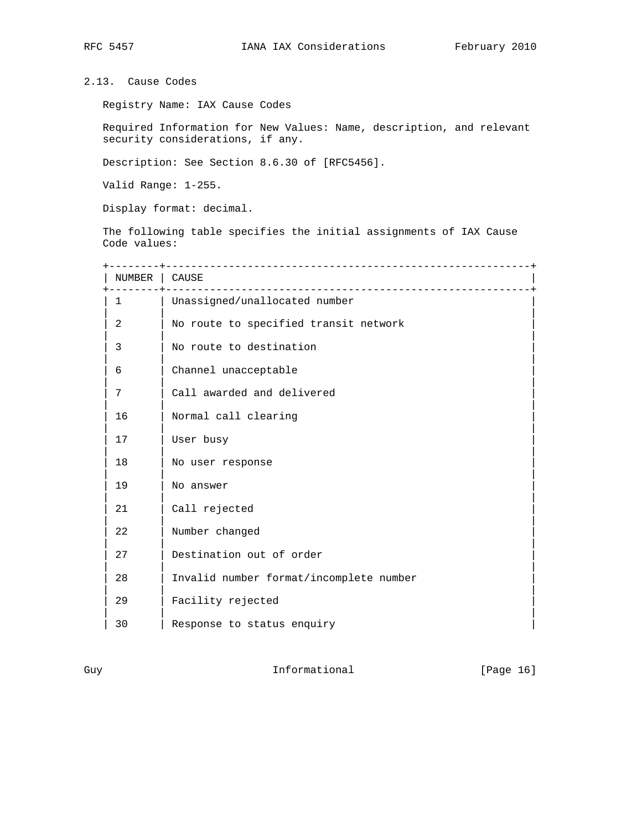# 2.13. Cause Codes

Registry Name: IAX Cause Codes

 Required Information for New Values: Name, description, and relevant security considerations, if any.

Description: See Section 8.6.30 of [RFC5456].

Valid Range: 1-255.

Display format: decimal.

 The following table specifies the initial assignments of IAX Cause Code values:

| NUMBER | CAUSE<br>____________________________   |
|--------|-----------------------------------------|
| 1      | Unassigned/unallocated number           |
| 2      | No route to specified transit network   |
| 3      | No route to destination                 |
| 6      | Channel unacceptable                    |
| 7      | Call awarded and delivered              |
| 16     | Normal call clearing                    |
| 17     | User busy                               |
| 18     | No user response                        |
| 19     | No answer                               |
| 21     | Call rejected                           |
| 22     | Number changed                          |
| 27     | Destination out of order                |
| 28     | Invalid number format/incomplete number |
| 29     | Facility rejected                       |
| 30     | Response to status enquiry              |

Guy **Informational** [Page 16]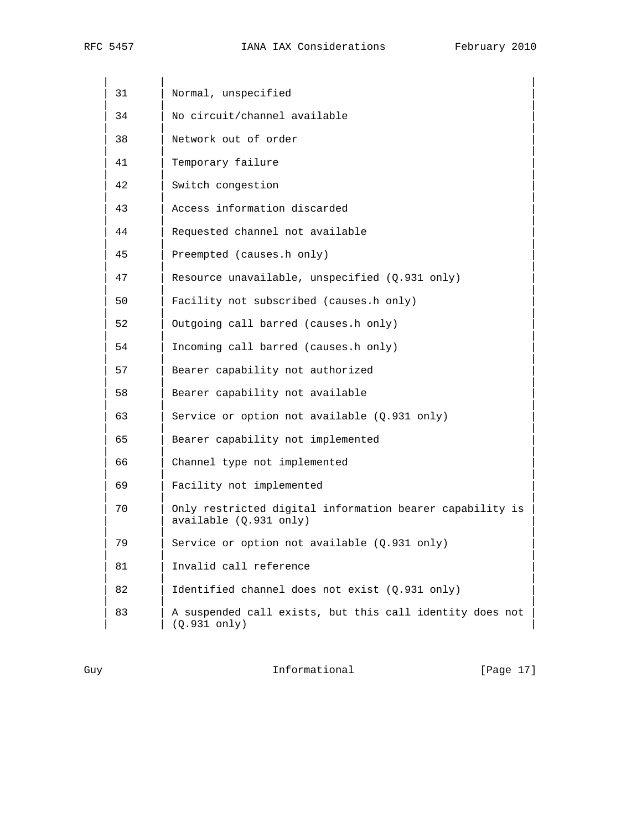RFC 5457 **IANA IAX Considerations** February 2010

| 31 | Normal, unspecified                                                                |
|----|------------------------------------------------------------------------------------|
| 34 | No circuit/channel available                                                       |
| 38 | Network out of order                                                               |
| 41 | Temporary failure                                                                  |
| 42 | Switch congestion                                                                  |
| 43 | Access information discarded                                                       |
| 44 | Requested channel not available                                                    |
| 45 | Preempted (causes.h only)                                                          |
| 47 | Resource unavailable, unspecified (Q.931 only)                                     |
| 50 | Facility not subscribed (causes.h only)                                            |
| 52 | Outgoing call barred (causes.h only)                                               |
| 54 | Incoming call barred (causes.h only)                                               |
| 57 | Bearer capability not authorized                                                   |
| 58 | Bearer capability not available                                                    |
| 63 | Service or option not available (Q.931 only)                                       |
| 65 | Bearer capability not implemented                                                  |
| 66 | Channel type not implemented                                                       |
| 69 | Facility not implemented                                                           |
| 70 | Only restricted digital information bearer capability is<br>available (Q.931 only) |
| 79 | Service or option not available (Q.931 only)                                       |
| 81 | Invalid call reference                                                             |
| 82 | Identified channel does not exist (Q.931 only)                                     |
| 83 | A suspended call exists, but this call identity does not<br>(Q.931 only)           |

Guy **Informational** [Page 17]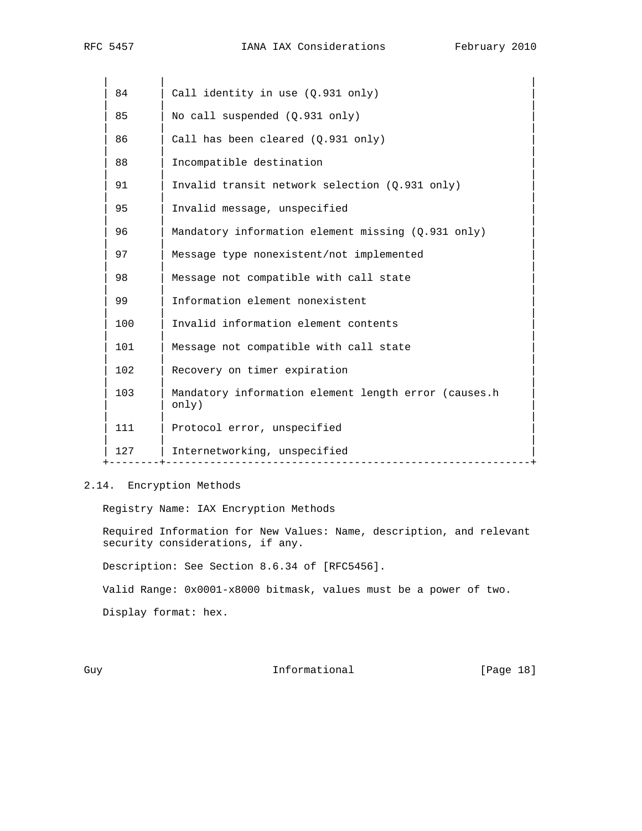| 84  | Call identity in use (Q.931 only)                             |
|-----|---------------------------------------------------------------|
| 85  | No call suspended $(Q.931$ only)                              |
| 86  | Call has been cleared $(Q.931 \text{ only})$                  |
| 88  | Incompatible destination                                      |
| 91  | Invalid transit network selection (Q.931 only)                |
| 95  | Invalid message, unspecified                                  |
| 96  | Mandatory information element missing (Q.931 only)            |
| 97  | Message type nonexistent/not implemented                      |
| 98  | Message not compatible with call state                        |
| 99  | Information element nonexistent                               |
| 100 | Invalid information element contents                          |
| 101 | Message not compatible with call state                        |
| 102 | Recovery on timer expiration                                  |
| 103 | Mandatory information element length error (causes.h<br>only) |
| 111 | Protocol error, unspecified                                   |
| 127 | Internetworking, unspecified                                  |
|     |                                                               |

# 2.14. Encryption Methods

Registry Name: IAX Encryption Methods

 Required Information for New Values: Name, description, and relevant security considerations, if any.

Description: See Section 8.6.34 of [RFC5456].

Valid Range: 0x0001-x8000 bitmask, values must be a power of two.

Display format: hex.

Guy **Informational** [Page 18]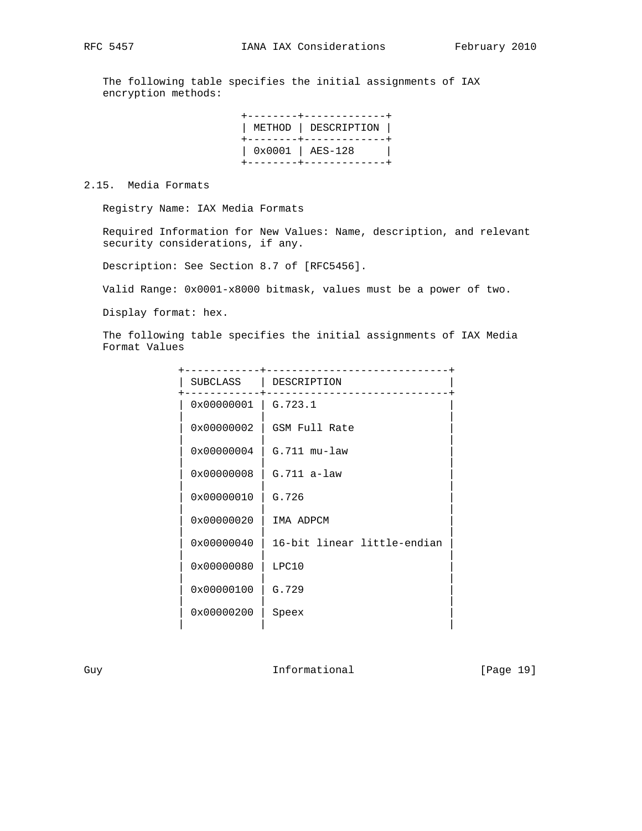The following table specifies the initial assignments of IAX encryption methods:

|  | ------+--------------<br>  METHOD   DESCRIPTION  <br>+--------+--------------+ |
|--|--------------------------------------------------------------------------------|
|  | $\vert$ 0x0001 $\vert$ AES-128<br>+--------+-------------                      |

2.15. Media Formats

Registry Name: IAX Media Formats

 Required Information for New Values: Name, description, and relevant security considerations, if any.

Description: See Section 8.7 of [RFC5456].

Valid Range: 0x0001-x8000 bitmask, values must be a power of two.

Display format: hex.

 The following table specifies the initial assignments of IAX Media Format Values

| SUBCLASS   | DESCRIPTION                 |
|------------|-----------------------------|
| 0x00000001 | G.723.1                     |
| 0x00000002 | GSM Full Rate               |
| 0x00000004 | $G.711$ $mu-law$            |
| 0x00000008 | $G.711 a-law$               |
| 0x00000010 | G.726                       |
| 0x00000020 | IMA ADPCM                   |
| 0x00000040 | 16-bit linear little-endian |
| 0x00000080 | LPC10                       |
| 0x00000100 | G.729                       |
| 0x00000200 | Speex                       |
|            |                             |

Guy **Informational** [Page 19]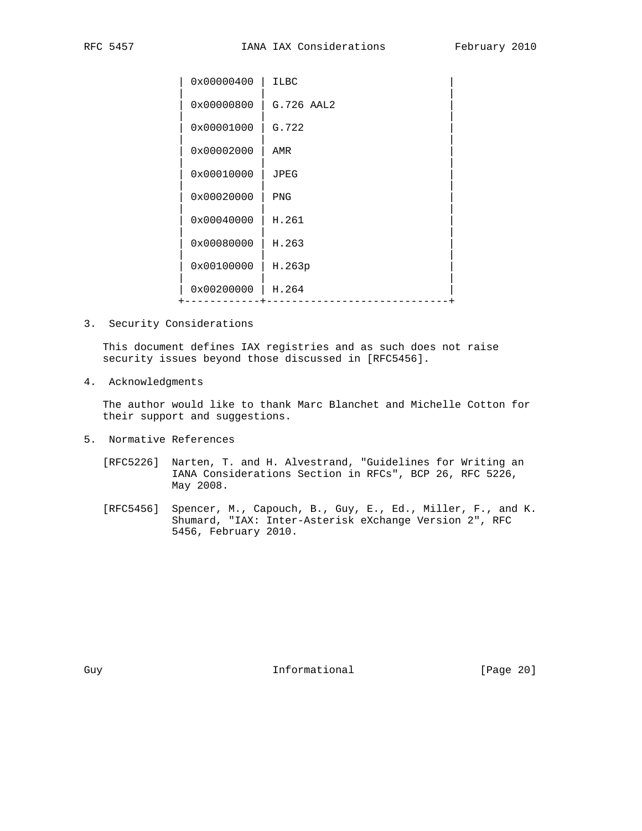| 0x00000400 | <b>ILBC</b> |  |
|------------|-------------|--|
| 0x00000800 | G.726 AAL2  |  |
| 0x00001000 | G.722       |  |
| 0x00002000 | AMR         |  |
| 0x00010000 | <b>JPEG</b> |  |
| 0x00020000 | PNG         |  |
| 0x00040000 | H.261       |  |
| 0x00080000 | H.263       |  |
| 0x00100000 | H.263p      |  |
| 0x00200000 | H.264       |  |
|            |             |  |

3. Security Considerations

 This document defines IAX registries and as such does not raise security issues beyond those discussed in [RFC5456].

4. Acknowledgments

 The author would like to thank Marc Blanchet and Michelle Cotton for their support and suggestions.

- 5. Normative References
	- [RFC5226] Narten, T. and H. Alvestrand, "Guidelines for Writing an IANA Considerations Section in RFCs", BCP 26, RFC 5226, May 2008.
- [RFC5456] Spencer, M., Capouch, B., Guy, E., Ed., Miller, F., and K. Shumard, "IAX: Inter-Asterisk eXchange Version 2", RFC 5456, February 2010.

Guy **Informational** [Page 20]